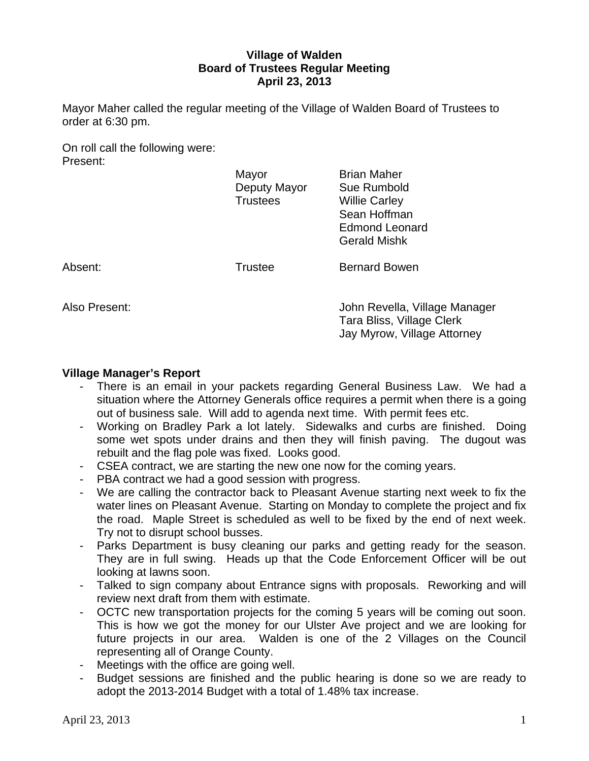# **Village of Walden Board of Trustees Regular Meeting April 23, 2013**

Mayor Maher called the regular meeting of the Village of Walden Board of Trustees to order at 6:30 pm.

On roll call the following were: Present:

|               | Mayor<br>Deputy Mayor<br><b>Trustees</b> | <b>Brian Maher</b><br>Sue Rumbold<br><b>Willie Carley</b><br>Sean Hoffman<br><b>Edmond Leonard</b><br><b>Gerald Mishk</b> |
|---------------|------------------------------------------|---------------------------------------------------------------------------------------------------------------------------|
| Absent:       | <b>Trustee</b>                           | <b>Bernard Bowen</b>                                                                                                      |
| Also Present: |                                          | John Revella, Village Manager                                                                                             |

 Tara Bliss, Village Clerk Jay Myrow, Village Attorney

#### **Village Manager's Report**

- There is an email in your packets regarding General Business Law. We had a situation where the Attorney Generals office requires a permit when there is a going out of business sale. Will add to agenda next time. With permit fees etc.
- Working on Bradley Park a lot lately. Sidewalks and curbs are finished. Doing some wet spots under drains and then they will finish paving. The dugout was rebuilt and the flag pole was fixed. Looks good.
- CSEA contract, we are starting the new one now for the coming years.
- PBA contract we had a good session with progress.
- We are calling the contractor back to Pleasant Avenue starting next week to fix the water lines on Pleasant Avenue. Starting on Monday to complete the project and fix the road. Maple Street is scheduled as well to be fixed by the end of next week. Try not to disrupt school busses.
- Parks Department is busy cleaning our parks and getting ready for the season. They are in full swing. Heads up that the Code Enforcement Officer will be out looking at lawns soon.
- Talked to sign company about Entrance signs with proposals. Reworking and will review next draft from them with estimate.
- OCTC new transportation projects for the coming 5 years will be coming out soon. This is how we got the money for our Ulster Ave project and we are looking for future projects in our area. Walden is one of the 2 Villages on the Council representing all of Orange County.
- Meetings with the office are going well.
- Budget sessions are finished and the public hearing is done so we are ready to adopt the 2013-2014 Budget with a total of 1.48% tax increase.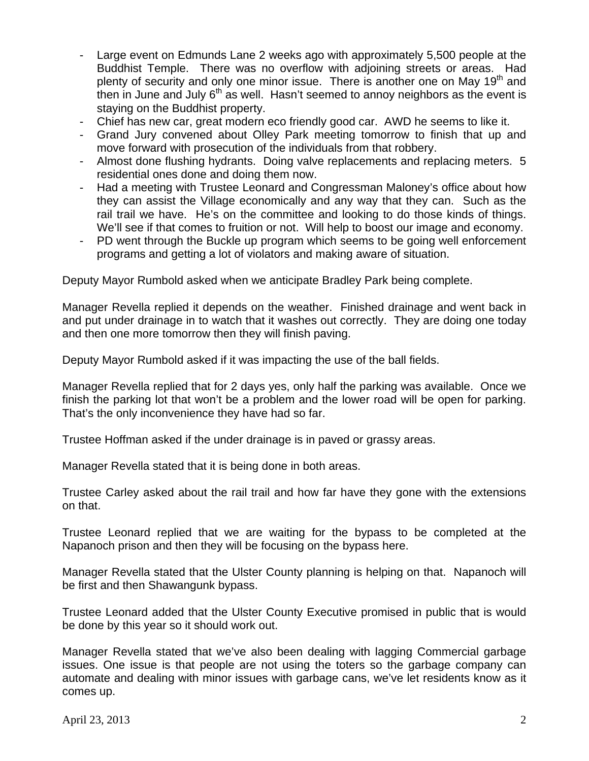- Large event on Edmunds Lane 2 weeks ago with approximately 5,500 people at the Buddhist Temple. There was no overflow with adjoining streets or areas. Had plenty of security and only one minor issue. There is another one on May  $19<sup>th</sup>$  and then in June and July  $6<sup>th</sup>$  as well. Hasn't seemed to annoy neighbors as the event is staying on the Buddhist property.
- Chief has new car, great modern eco friendly good car. AWD he seems to like it.
- Grand Jury convened about Olley Park meeting tomorrow to finish that up and move forward with prosecution of the individuals from that robbery.
- Almost done flushing hydrants. Doing valve replacements and replacing meters. 5 residential ones done and doing them now.
- Had a meeting with Trustee Leonard and Congressman Maloney's office about how they can assist the Village economically and any way that they can. Such as the rail trail we have. He's on the committee and looking to do those kinds of things. We'll see if that comes to fruition or not. Will help to boost our image and economy.
- PD went through the Buckle up program which seems to be going well enforcement programs and getting a lot of violators and making aware of situation.

Deputy Mayor Rumbold asked when we anticipate Bradley Park being complete.

Manager Revella replied it depends on the weather. Finished drainage and went back in and put under drainage in to watch that it washes out correctly. They are doing one today and then one more tomorrow then they will finish paving.

Deputy Mayor Rumbold asked if it was impacting the use of the ball fields.

Manager Revella replied that for 2 days yes, only half the parking was available. Once we finish the parking lot that won't be a problem and the lower road will be open for parking. That's the only inconvenience they have had so far.

Trustee Hoffman asked if the under drainage is in paved or grassy areas.

Manager Revella stated that it is being done in both areas.

Trustee Carley asked about the rail trail and how far have they gone with the extensions on that.

Trustee Leonard replied that we are waiting for the bypass to be completed at the Napanoch prison and then they will be focusing on the bypass here.

Manager Revella stated that the Ulster County planning is helping on that. Napanoch will be first and then Shawangunk bypass.

Trustee Leonard added that the Ulster County Executive promised in public that is would be done by this year so it should work out.

Manager Revella stated that we've also been dealing with lagging Commercial garbage issues. One issue is that people are not using the toters so the garbage company can automate and dealing with minor issues with garbage cans, we've let residents know as it comes up.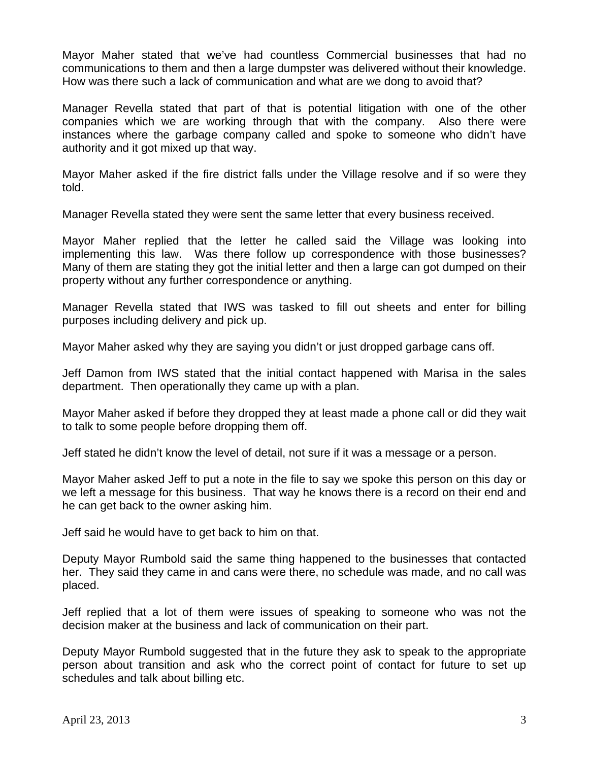Mayor Maher stated that we've had countless Commercial businesses that had no communications to them and then a large dumpster was delivered without their knowledge. How was there such a lack of communication and what are we dong to avoid that?

Manager Revella stated that part of that is potential litigation with one of the other companies which we are working through that with the company. Also there were instances where the garbage company called and spoke to someone who didn't have authority and it got mixed up that way.

Mayor Maher asked if the fire district falls under the Village resolve and if so were they told.

Manager Revella stated they were sent the same letter that every business received.

Mayor Maher replied that the letter he called said the Village was looking into implementing this law. Was there follow up correspondence with those businesses? Many of them are stating they got the initial letter and then a large can got dumped on their property without any further correspondence or anything.

Manager Revella stated that IWS was tasked to fill out sheets and enter for billing purposes including delivery and pick up.

Mayor Maher asked why they are saying you didn't or just dropped garbage cans off.

Jeff Damon from IWS stated that the initial contact happened with Marisa in the sales department. Then operationally they came up with a plan.

Mayor Maher asked if before they dropped they at least made a phone call or did they wait to talk to some people before dropping them off.

Jeff stated he didn't know the level of detail, not sure if it was a message or a person.

Mayor Maher asked Jeff to put a note in the file to say we spoke this person on this day or we left a message for this business. That way he knows there is a record on their end and he can get back to the owner asking him.

Jeff said he would have to get back to him on that.

Deputy Mayor Rumbold said the same thing happened to the businesses that contacted her. They said they came in and cans were there, no schedule was made, and no call was placed.

Jeff replied that a lot of them were issues of speaking to someone who was not the decision maker at the business and lack of communication on their part.

Deputy Mayor Rumbold suggested that in the future they ask to speak to the appropriate person about transition and ask who the correct point of contact for future to set up schedules and talk about billing etc.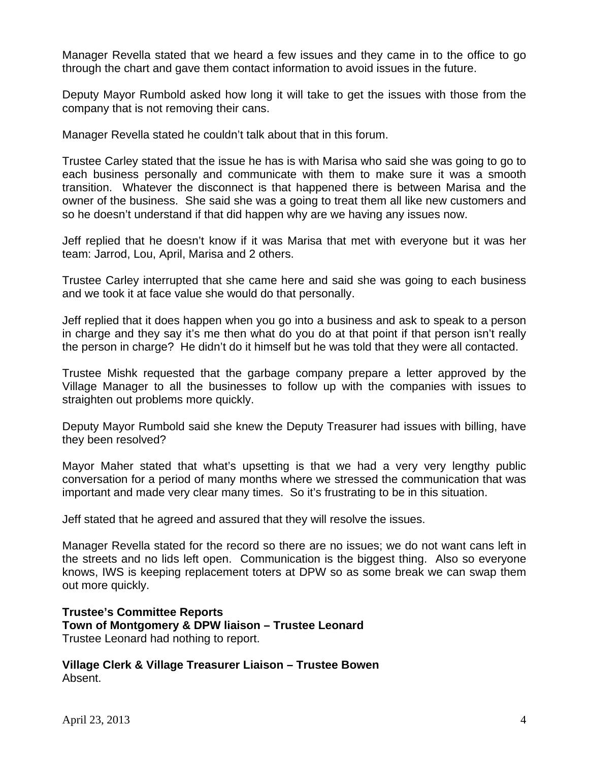Manager Revella stated that we heard a few issues and they came in to the office to go through the chart and gave them contact information to avoid issues in the future.

Deputy Mayor Rumbold asked how long it will take to get the issues with those from the company that is not removing their cans.

Manager Revella stated he couldn't talk about that in this forum.

Trustee Carley stated that the issue he has is with Marisa who said she was going to go to each business personally and communicate with them to make sure it was a smooth transition. Whatever the disconnect is that happened there is between Marisa and the owner of the business. She said she was a going to treat them all like new customers and so he doesn't understand if that did happen why are we having any issues now.

Jeff replied that he doesn't know if it was Marisa that met with everyone but it was her team: Jarrod, Lou, April, Marisa and 2 others.

Trustee Carley interrupted that she came here and said she was going to each business and we took it at face value she would do that personally.

Jeff replied that it does happen when you go into a business and ask to speak to a person in charge and they say it's me then what do you do at that point if that person isn't really the person in charge? He didn't do it himself but he was told that they were all contacted.

Trustee Mishk requested that the garbage company prepare a letter approved by the Village Manager to all the businesses to follow up with the companies with issues to straighten out problems more quickly.

Deputy Mayor Rumbold said she knew the Deputy Treasurer had issues with billing, have they been resolved?

Mayor Maher stated that what's upsetting is that we had a very very lengthy public conversation for a period of many months where we stressed the communication that was important and made very clear many times. So it's frustrating to be in this situation.

Jeff stated that he agreed and assured that they will resolve the issues.

Manager Revella stated for the record so there are no issues; we do not want cans left in the streets and no lids left open. Communication is the biggest thing. Also so everyone knows, IWS is keeping replacement toters at DPW so as some break we can swap them out more quickly.

**Trustee's Committee Reports Town of Montgomery & DPW liaison – Trustee Leonard** Trustee Leonard had nothing to report.

**Village Clerk & Village Treasurer Liaison – Trustee Bowen**  Absent.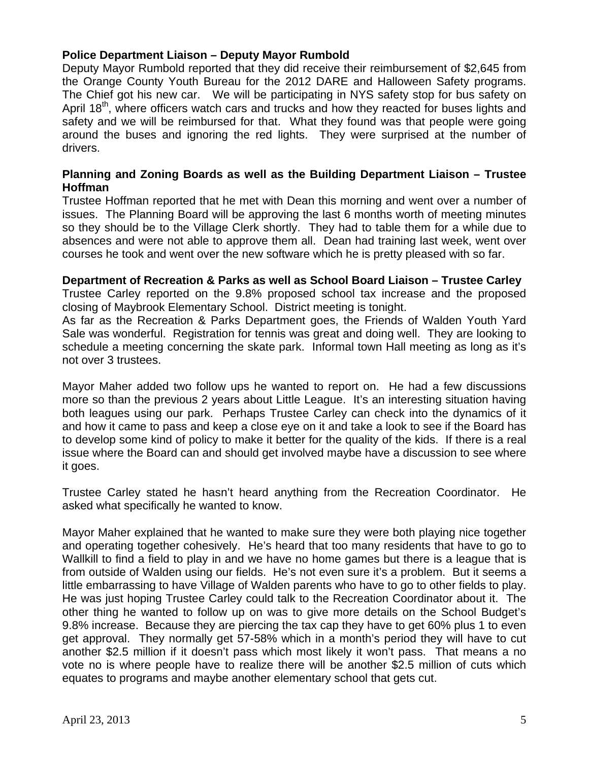# **Police Department Liaison – Deputy Mayor Rumbold**

Deputy Mayor Rumbold reported that they did receive their reimbursement of \$2,645 from the Orange County Youth Bureau for the 2012 DARE and Halloween Safety programs. The Chief got his new car. We will be participating in NYS safety stop for bus safety on April 18<sup>th</sup>, where officers watch cars and trucks and how they reacted for buses lights and safety and we will be reimbursed for that. What they found was that people were going around the buses and ignoring the red lights. They were surprised at the number of drivers.

# **Planning and Zoning Boards as well as the Building Department Liaison – Trustee Hoffman**

Trustee Hoffman reported that he met with Dean this morning and went over a number of issues. The Planning Board will be approving the last 6 months worth of meeting minutes so they should be to the Village Clerk shortly. They had to table them for a while due to absences and were not able to approve them all. Dean had training last week, went over courses he took and went over the new software which he is pretty pleased with so far.

#### **Department of Recreation & Parks as well as School Board Liaison – Trustee Carley**

Trustee Carley reported on the 9.8% proposed school tax increase and the proposed closing of Maybrook Elementary School. District meeting is tonight.

As far as the Recreation & Parks Department goes, the Friends of Walden Youth Yard Sale was wonderful. Registration for tennis was great and doing well. They are looking to schedule a meeting concerning the skate park. Informal town Hall meeting as long as it's not over 3 trustees.

Mayor Maher added two follow ups he wanted to report on. He had a few discussions more so than the previous 2 years about Little League. It's an interesting situation having both leagues using our park. Perhaps Trustee Carley can check into the dynamics of it and how it came to pass and keep a close eye on it and take a look to see if the Board has to develop some kind of policy to make it better for the quality of the kids. If there is a real issue where the Board can and should get involved maybe have a discussion to see where it goes.

Trustee Carley stated he hasn't heard anything from the Recreation Coordinator. He asked what specifically he wanted to know.

Mayor Maher explained that he wanted to make sure they were both playing nice together and operating together cohesively. He's heard that too many residents that have to go to Wallkill to find a field to play in and we have no home games but there is a league that is from outside of Walden using our fields. He's not even sure it's a problem. But it seems a little embarrassing to have Village of Walden parents who have to go to other fields to play. He was just hoping Trustee Carley could talk to the Recreation Coordinator about it. The other thing he wanted to follow up on was to give more details on the School Budget's 9.8% increase. Because they are piercing the tax cap they have to get 60% plus 1 to even get approval. They normally get 57-58% which in a month's period they will have to cut another \$2.5 million if it doesn't pass which most likely it won't pass. That means a no vote no is where people have to realize there will be another \$2.5 million of cuts which equates to programs and maybe another elementary school that gets cut.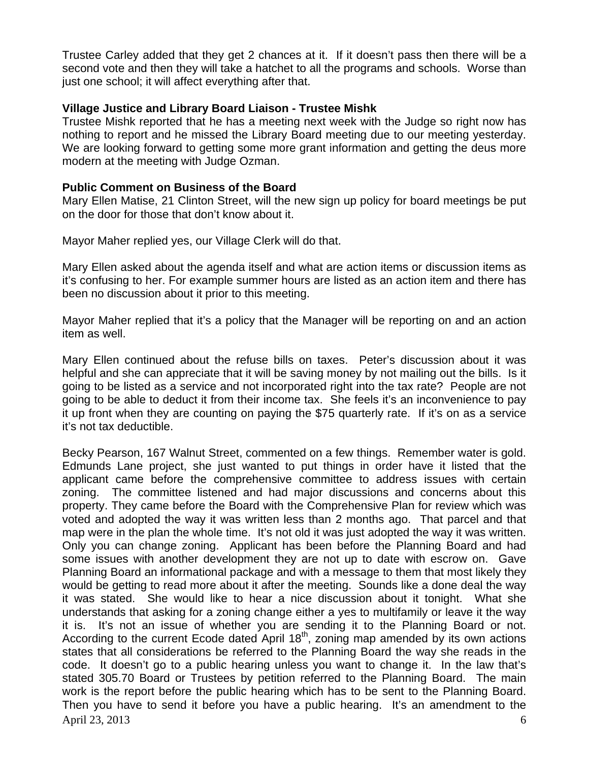Trustee Carley added that they get 2 chances at it. If it doesn't pass then there will be a second vote and then they will take a hatchet to all the programs and schools. Worse than just one school; it will affect everything after that.

## **Village Justice and Library Board Liaison - Trustee Mishk**

Trustee Mishk reported that he has a meeting next week with the Judge so right now has nothing to report and he missed the Library Board meeting due to our meeting yesterday. We are looking forward to getting some more grant information and getting the deus more modern at the meeting with Judge Ozman.

#### **Public Comment on Business of the Board**

Mary Ellen Matise, 21 Clinton Street, will the new sign up policy for board meetings be put on the door for those that don't know about it.

Mayor Maher replied yes, our Village Clerk will do that.

Mary Ellen asked about the agenda itself and what are action items or discussion items as it's confusing to her. For example summer hours are listed as an action item and there has been no discussion about it prior to this meeting.

Mayor Maher replied that it's a policy that the Manager will be reporting on and an action item as well.

Mary Ellen continued about the refuse bills on taxes. Peter's discussion about it was helpful and she can appreciate that it will be saving money by not mailing out the bills. Is it going to be listed as a service and not incorporated right into the tax rate? People are not going to be able to deduct it from their income tax. She feels it's an inconvenience to pay it up front when they are counting on paying the \$75 quarterly rate. If it's on as a service it's not tax deductible.

April 23, 2013 6 Becky Pearson, 167 Walnut Street, commented on a few things. Remember water is gold. Edmunds Lane project, she just wanted to put things in order have it listed that the applicant came before the comprehensive committee to address issues with certain zoning. The committee listened and had major discussions and concerns about this property. They came before the Board with the Comprehensive Plan for review which was voted and adopted the way it was written less than 2 months ago. That parcel and that map were in the plan the whole time. It's not old it was just adopted the way it was written. Only you can change zoning. Applicant has been before the Planning Board and had some issues with another development they are not up to date with escrow on. Gave Planning Board an informational package and with a message to them that most likely they would be getting to read more about it after the meeting. Sounds like a done deal the way it was stated. She would like to hear a nice discussion about it tonight. What she understands that asking for a zoning change either a yes to multifamily or leave it the way it is. It's not an issue of whether you are sending it to the Planning Board or not. According to the current Ecode dated April 18<sup>th</sup>, zoning map amended by its own actions states that all considerations be referred to the Planning Board the way she reads in the code. It doesn't go to a public hearing unless you want to change it. In the law that's stated 305.70 Board or Trustees by petition referred to the Planning Board. The main work is the report before the public hearing which has to be sent to the Planning Board. Then you have to send it before you have a public hearing. It's an amendment to the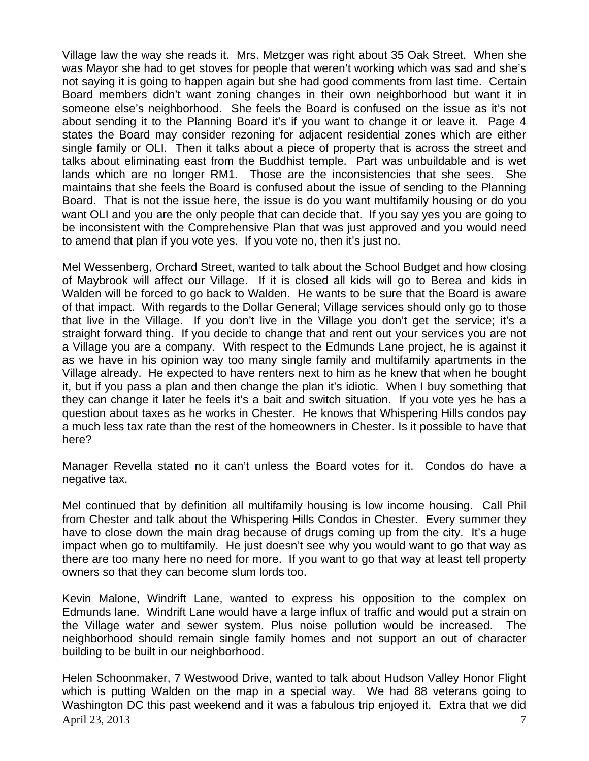Village law the way she reads it. Mrs. Metzger was right about 35 Oak Street. When she was Mayor she had to get stoves for people that weren't working which was sad and she's not saying it is going to happen again but she had good comments from last time. Certain Board members didn't want zoning changes in their own neighborhood but want it in someone else's neighborhood. She feels the Board is confused on the issue as it's not about sending it to the Planning Board it's if you want to change it or leave it. Page 4 states the Board may consider rezoning for adjacent residential zones which are either single family or OLI. Then it talks about a piece of property that is across the street and talks about eliminating east from the Buddhist temple. Part was unbuildable and is wet lands which are no longer RM1. Those are the inconsistencies that she sees. She maintains that she feels the Board is confused about the issue of sending to the Planning Board. That is not the issue here, the issue is do you want multifamily housing or do you want OLI and you are the only people that can decide that. If you say yes you are going to be inconsistent with the Comprehensive Plan that was just approved and you would need to amend that plan if you vote yes. If you vote no, then it's just no.

Mel Wessenberg, Orchard Street, wanted to talk about the School Budget and how closing of Maybrook will affect our Village. If it is closed all kids will go to Berea and kids in Walden will be forced to go back to Walden. He wants to be sure that the Board is aware of that impact. With regards to the Dollar General; Village services should only go to those that live in the Village. If you don't live in the Village you don't get the service; it's a straight forward thing. If you decide to change that and rent out your services you are not a Village you are a company. With respect to the Edmunds Lane project, he is against it as we have in his opinion way too many single family and multifamily apartments in the Village already. He expected to have renters next to him as he knew that when he bought it, but if you pass a plan and then change the plan it's idiotic. When I buy something that they can change it later he feels it's a bait and switch situation. If you vote yes he has a question about taxes as he works in Chester. He knows that Whispering Hills condos pay a much less tax rate than the rest of the homeowners in Chester. Is it possible to have that here?

Manager Revella stated no it can't unless the Board votes for it. Condos do have a negative tax.

Mel continued that by definition all multifamily housing is low income housing. Call Phil from Chester and talk about the Whispering Hills Condos in Chester. Every summer they have to close down the main drag because of drugs coming up from the city. It's a huge impact when go to multifamily. He just doesn't see why you would want to go that way as there are too many here no need for more. If you want to go that way at least tell property owners so that they can become slum lords too.

Kevin Malone, Windrift Lane, wanted to express his opposition to the complex on Edmunds lane. Windrift Lane would have a large influx of traffic and would put a strain on the Village water and sewer system. Plus noise pollution would be increased. The neighborhood should remain single family homes and not support an out of character building to be built in our neighborhood.

April 23, 2013 **7** Helen Schoonmaker, 7 Westwood Drive, wanted to talk about Hudson Valley Honor Flight which is putting Walden on the map in a special way. We had 88 veterans going to Washington DC this past weekend and it was a fabulous trip enjoyed it. Extra that we did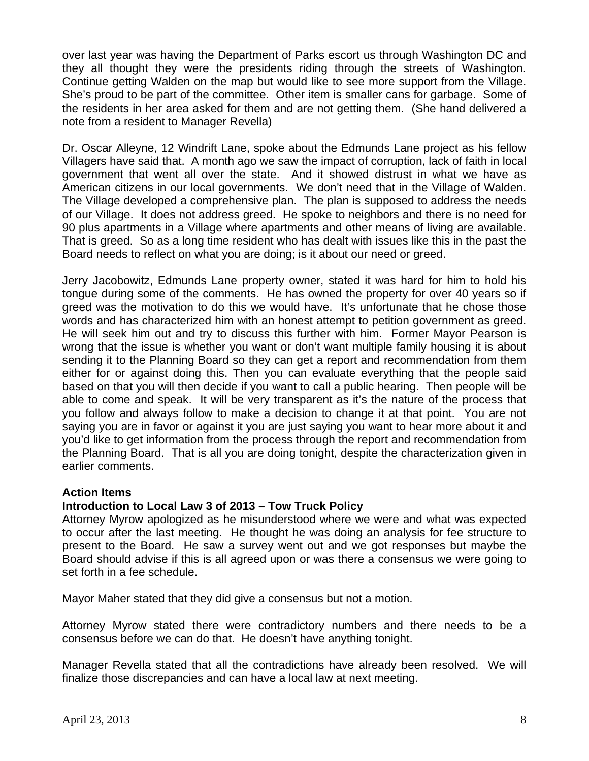over last year was having the Department of Parks escort us through Washington DC and they all thought they were the presidents riding through the streets of Washington. Continue getting Walden on the map but would like to see more support from the Village. She's proud to be part of the committee. Other item is smaller cans for garbage. Some of the residents in her area asked for them and are not getting them. (She hand delivered a note from a resident to Manager Revella)

Dr. Oscar Alleyne, 12 Windrift Lane, spoke about the Edmunds Lane project as his fellow Villagers have said that. A month ago we saw the impact of corruption, lack of faith in local government that went all over the state. And it showed distrust in what we have as American citizens in our local governments. We don't need that in the Village of Walden. The Village developed a comprehensive plan. The plan is supposed to address the needs of our Village. It does not address greed. He spoke to neighbors and there is no need for 90 plus apartments in a Village where apartments and other means of living are available. That is greed. So as a long time resident who has dealt with issues like this in the past the Board needs to reflect on what you are doing; is it about our need or greed.

Jerry Jacobowitz, Edmunds Lane property owner, stated it was hard for him to hold his tongue during some of the comments. He has owned the property for over 40 years so if greed was the motivation to do this we would have. It's unfortunate that he chose those words and has characterized him with an honest attempt to petition government as greed. He will seek him out and try to discuss this further with him. Former Mayor Pearson is wrong that the issue is whether you want or don't want multiple family housing it is about sending it to the Planning Board so they can get a report and recommendation from them either for or against doing this. Then you can evaluate everything that the people said based on that you will then decide if you want to call a public hearing. Then people will be able to come and speak. It will be very transparent as it's the nature of the process that you follow and always follow to make a decision to change it at that point. You are not saying you are in favor or against it you are just saying you want to hear more about it and you'd like to get information from the process through the report and recommendation from the Planning Board. That is all you are doing tonight, despite the characterization given in earlier comments.

# **Action Items**

# **Introduction to Local Law 3 of 2013 – Tow Truck Policy**

Attorney Myrow apologized as he misunderstood where we were and what was expected to occur after the last meeting. He thought he was doing an analysis for fee structure to present to the Board. He saw a survey went out and we got responses but maybe the Board should advise if this is all agreed upon or was there a consensus we were going to set forth in a fee schedule.

Mayor Maher stated that they did give a consensus but not a motion.

Attorney Myrow stated there were contradictory numbers and there needs to be a consensus before we can do that. He doesn't have anything tonight.

Manager Revella stated that all the contradictions have already been resolved. We will finalize those discrepancies and can have a local law at next meeting.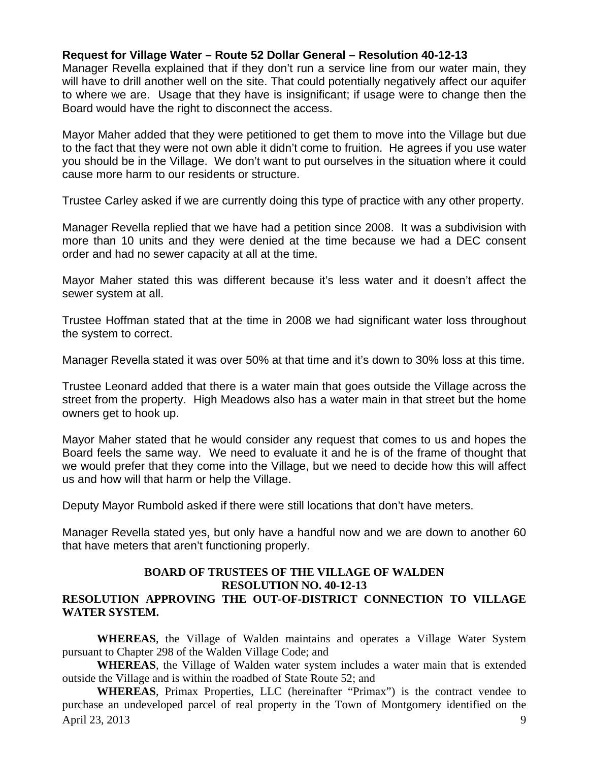# **Request for Village Water – Route 52 Dollar General – Resolution 40-12-13**

Manager Revella explained that if they don't run a service line from our water main, they will have to drill another well on the site. That could potentially negatively affect our aquifer to where we are. Usage that they have is insignificant; if usage were to change then the Board would have the right to disconnect the access.

Mayor Maher added that they were petitioned to get them to move into the Village but due to the fact that they were not own able it didn't come to fruition. He agrees if you use water you should be in the Village. We don't want to put ourselves in the situation where it could cause more harm to our residents or structure.

Trustee Carley asked if we are currently doing this type of practice with any other property.

Manager Revella replied that we have had a petition since 2008. It was a subdivision with more than 10 units and they were denied at the time because we had a DEC consent order and had no sewer capacity at all at the time.

Mayor Maher stated this was different because it's less water and it doesn't affect the sewer system at all.

Trustee Hoffman stated that at the time in 2008 we had significant water loss throughout the system to correct.

Manager Revella stated it was over 50% at that time and it's down to 30% loss at this time.

Trustee Leonard added that there is a water main that goes outside the Village across the street from the property. High Meadows also has a water main in that street but the home owners get to hook up.

Mayor Maher stated that he would consider any request that comes to us and hopes the Board feels the same way. We need to evaluate it and he is of the frame of thought that we would prefer that they come into the Village, but we need to decide how this will affect us and how will that harm or help the Village.

Deputy Mayor Rumbold asked if there were still locations that don't have meters.

Manager Revella stated yes, but only have a handful now and we are down to another 60 that have meters that aren't functioning properly.

# **BOARD OF TRUSTEES OF THE VILLAGE OF WALDEN RESOLUTION NO. 40-12-13**

# **RESOLUTION APPROVING THE OUT-OF-DISTRICT CONNECTION TO VILLAGE WATER SYSTEM.**

 **WHEREAS**, the Village of Walden maintains and operates a Village Water System pursuant to Chapter 298 of the Walden Village Code; and

**WHEREAS**, the Village of Walden water system includes a water main that is extended outside the Village and is within the roadbed of State Route 52; and

April 23, 2013 9 **WHEREAS**, Primax Properties, LLC (hereinafter "Primax") is the contract vendee to purchase an undeveloped parcel of real property in the Town of Montgomery identified on the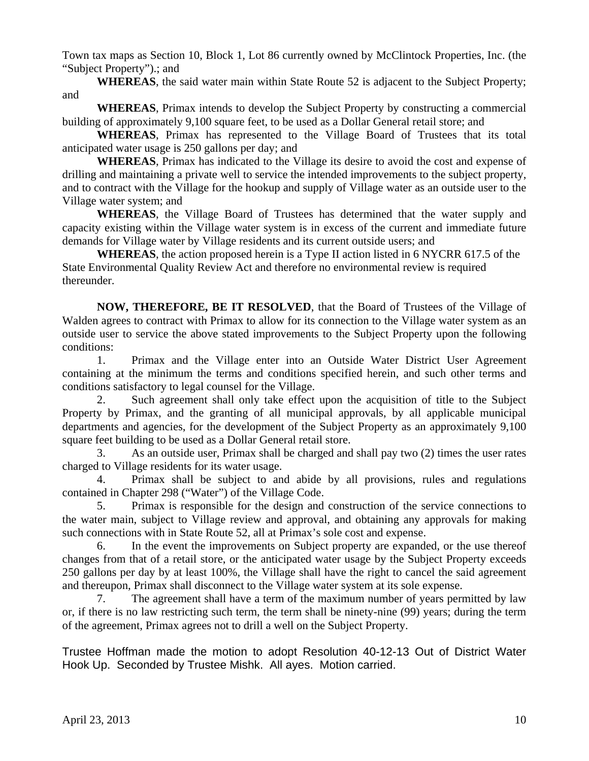Town tax maps as Section 10, Block 1, Lot 86 currently owned by McClintock Properties, Inc. (the "Subject Property").; and

**WHEREAS**, the said water main within State Route 52 is adjacent to the Subject Property; and

**WHEREAS**, Primax intends to develop the Subject Property by constructing a commercial building of approximately 9,100 square feet, to be used as a Dollar General retail store; and

**WHEREAS**, Primax has represented to the Village Board of Trustees that its total anticipated water usage is 250 gallons per day; and

**WHEREAS**, Primax has indicated to the Village its desire to avoid the cost and expense of drilling and maintaining a private well to service the intended improvements to the subject property, and to contract with the Village for the hookup and supply of Village water as an outside user to the Village water system; and

**WHEREAS**, the Village Board of Trustees has determined that the water supply and capacity existing within the Village water system is in excess of the current and immediate future demands for Village water by Village residents and its current outside users; and

**WHEREAS**, the action proposed herein is a Type II action listed in 6 NYCRR 617.5 of the State Environmental Quality Review Act and therefore no environmental review is required thereunder.

**NOW, THEREFORE, BE IT RESOLVED**, that the Board of Trustees of the Village of Walden agrees to contract with Primax to allow for its connection to the Village water system as an outside user to service the above stated improvements to the Subject Property upon the following conditions:

 1. Primax and the Village enter into an Outside Water District User Agreement containing at the minimum the terms and conditions specified herein, and such other terms and conditions satisfactory to legal counsel for the Village.

 2. Such agreement shall only take effect upon the acquisition of title to the Subject Property by Primax, and the granting of all municipal approvals, by all applicable municipal departments and agencies, for the development of the Subject Property as an approximately 9,100 square feet building to be used as a Dollar General retail store.

 3. As an outside user, Primax shall be charged and shall pay two (2) times the user rates charged to Village residents for its water usage.

 4. Primax shall be subject to and abide by all provisions, rules and regulations contained in Chapter 298 ("Water") of the Village Code.

 5. Primax is responsible for the design and construction of the service connections to the water main, subject to Village review and approval, and obtaining any approvals for making such connections with in State Route 52, all at Primax's sole cost and expense.

 6. In the event the improvements on Subject property are expanded, or the use thereof changes from that of a retail store, or the anticipated water usage by the Subject Property exceeds 250 gallons per day by at least 100%, the Village shall have the right to cancel the said agreement and thereupon, Primax shall disconnect to the Village water system at its sole expense.

 7. The agreement shall have a term of the maximum number of years permitted by law or, if there is no law restricting such term, the term shall be ninety-nine (99) years; during the term of the agreement, Primax agrees not to drill a well on the Subject Property.

Trustee Hoffman made the motion to adopt Resolution 40-12-13 Out of District Water Hook Up. Seconded by Trustee Mishk. All ayes. Motion carried.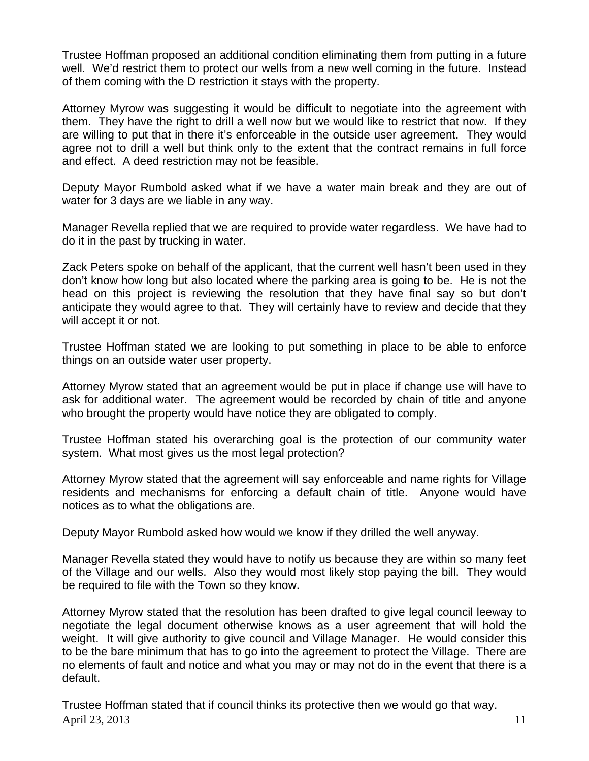Trustee Hoffman proposed an additional condition eliminating them from putting in a future well. We'd restrict them to protect our wells from a new well coming in the future. Instead of them coming with the D restriction it stays with the property.

Attorney Myrow was suggesting it would be difficult to negotiate into the agreement with them. They have the right to drill a well now but we would like to restrict that now. If they are willing to put that in there it's enforceable in the outside user agreement. They would agree not to drill a well but think only to the extent that the contract remains in full force and effect. A deed restriction may not be feasible.

Deputy Mayor Rumbold asked what if we have a water main break and they are out of water for 3 days are we liable in any way.

Manager Revella replied that we are required to provide water regardless. We have had to do it in the past by trucking in water.

Zack Peters spoke on behalf of the applicant, that the current well hasn't been used in they don't know how long but also located where the parking area is going to be. He is not the head on this project is reviewing the resolution that they have final say so but don't anticipate they would agree to that. They will certainly have to review and decide that they will accept it or not.

Trustee Hoffman stated we are looking to put something in place to be able to enforce things on an outside water user property.

Attorney Myrow stated that an agreement would be put in place if change use will have to ask for additional water. The agreement would be recorded by chain of title and anyone who brought the property would have notice they are obligated to comply.

Trustee Hoffman stated his overarching goal is the protection of our community water system. What most gives us the most legal protection?

Attorney Myrow stated that the agreement will say enforceable and name rights for Village residents and mechanisms for enforcing a default chain of title. Anyone would have notices as to what the obligations are.

Deputy Mayor Rumbold asked how would we know if they drilled the well anyway.

Manager Revella stated they would have to notify us because they are within so many feet of the Village and our wells. Also they would most likely stop paying the bill. They would be required to file with the Town so they know.

Attorney Myrow stated that the resolution has been drafted to give legal council leeway to negotiate the legal document otherwise knows as a user agreement that will hold the weight. It will give authority to give council and Village Manager. He would consider this to be the bare minimum that has to go into the agreement to protect the Village. There are no elements of fault and notice and what you may or may not do in the event that there is a default.

April 23, 2013 11 Trustee Hoffman stated that if council thinks its protective then we would go that way.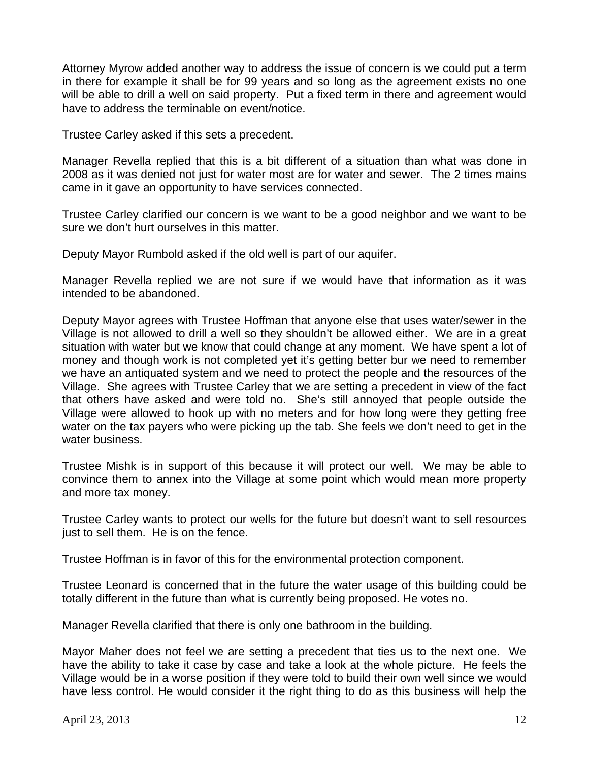Attorney Myrow added another way to address the issue of concern is we could put a term in there for example it shall be for 99 years and so long as the agreement exists no one will be able to drill a well on said property. Put a fixed term in there and agreement would have to address the terminable on event/notice.

Trustee Carley asked if this sets a precedent.

Manager Revella replied that this is a bit different of a situation than what was done in 2008 as it was denied not just for water most are for water and sewer. The 2 times mains came in it gave an opportunity to have services connected.

Trustee Carley clarified our concern is we want to be a good neighbor and we want to be sure we don't hurt ourselves in this matter.

Deputy Mayor Rumbold asked if the old well is part of our aquifer.

Manager Revella replied we are not sure if we would have that information as it was intended to be abandoned.

Deputy Mayor agrees with Trustee Hoffman that anyone else that uses water/sewer in the Village is not allowed to drill a well so they shouldn't be allowed either. We are in a great situation with water but we know that could change at any moment. We have spent a lot of money and though work is not completed yet it's getting better bur we need to remember we have an antiquated system and we need to protect the people and the resources of the Village. She agrees with Trustee Carley that we are setting a precedent in view of the fact that others have asked and were told no. She's still annoyed that people outside the Village were allowed to hook up with no meters and for how long were they getting free water on the tax payers who were picking up the tab. She feels we don't need to get in the water business.

Trustee Mishk is in support of this because it will protect our well. We may be able to convince them to annex into the Village at some point which would mean more property and more tax money.

Trustee Carley wants to protect our wells for the future but doesn't want to sell resources just to sell them. He is on the fence.

Trustee Hoffman is in favor of this for the environmental protection component.

Trustee Leonard is concerned that in the future the water usage of this building could be totally different in the future than what is currently being proposed. He votes no.

Manager Revella clarified that there is only one bathroom in the building.

Mayor Maher does not feel we are setting a precedent that ties us to the next one. We have the ability to take it case by case and take a look at the whole picture. He feels the Village would be in a worse position if they were told to build their own well since we would have less control. He would consider it the right thing to do as this business will help the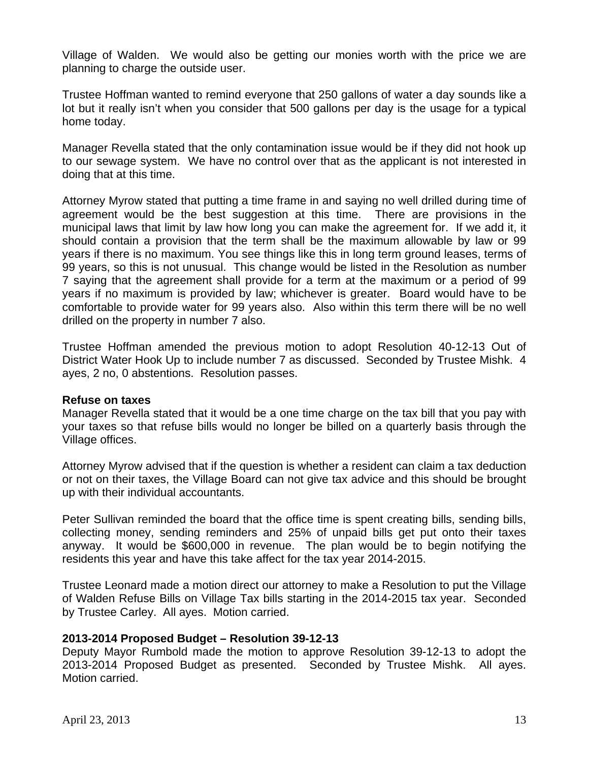Village of Walden. We would also be getting our monies worth with the price we are planning to charge the outside user.

Trustee Hoffman wanted to remind everyone that 250 gallons of water a day sounds like a lot but it really isn't when you consider that 500 gallons per day is the usage for a typical home today.

Manager Revella stated that the only contamination issue would be if they did not hook up to our sewage system. We have no control over that as the applicant is not interested in doing that at this time.

Attorney Myrow stated that putting a time frame in and saying no well drilled during time of agreement would be the best suggestion at this time. There are provisions in the municipal laws that limit by law how long you can make the agreement for. If we add it, it should contain a provision that the term shall be the maximum allowable by law or 99 years if there is no maximum. You see things like this in long term ground leases, terms of 99 years, so this is not unusual. This change would be listed in the Resolution as number 7 saying that the agreement shall provide for a term at the maximum or a period of 99 years if no maximum is provided by law; whichever is greater. Board would have to be comfortable to provide water for 99 years also. Also within this term there will be no well drilled on the property in number 7 also.

Trustee Hoffman amended the previous motion to adopt Resolution 40-12-13 Out of District Water Hook Up to include number 7 as discussed. Seconded by Trustee Mishk. 4 ayes, 2 no, 0 abstentions. Resolution passes.

#### **Refuse on taxes**

Manager Revella stated that it would be a one time charge on the tax bill that you pay with your taxes so that refuse bills would no longer be billed on a quarterly basis through the Village offices.

Attorney Myrow advised that if the question is whether a resident can claim a tax deduction or not on their taxes, the Village Board can not give tax advice and this should be brought up with their individual accountants.

Peter Sullivan reminded the board that the office time is spent creating bills, sending bills, collecting money, sending reminders and 25% of unpaid bills get put onto their taxes anyway. It would be \$600,000 in revenue. The plan would be to begin notifying the residents this year and have this take affect for the tax year 2014-2015.

Trustee Leonard made a motion direct our attorney to make a Resolution to put the Village of Walden Refuse Bills on Village Tax bills starting in the 2014-2015 tax year. Seconded by Trustee Carley. All ayes. Motion carried.

#### **2013-2014 Proposed Budget – Resolution 39-12-13**

Deputy Mayor Rumbold made the motion to approve Resolution 39-12-13 to adopt the 2013-2014 Proposed Budget as presented. Seconded by Trustee Mishk. All ayes. Motion carried.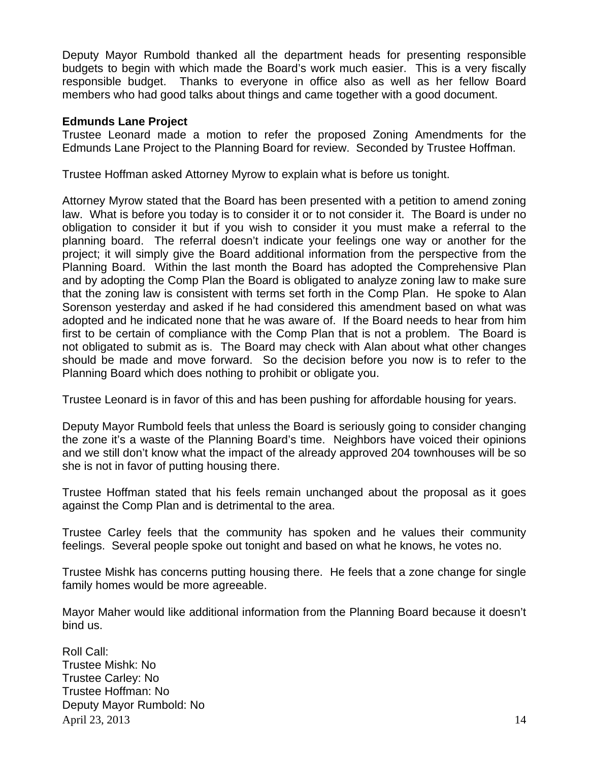Deputy Mayor Rumbold thanked all the department heads for presenting responsible budgets to begin with which made the Board's work much easier. This is a very fiscally responsible budget. Thanks to everyone in office also as well as her fellow Board members who had good talks about things and came together with a good document.

#### **Edmunds Lane Project**

Trustee Leonard made a motion to refer the proposed Zoning Amendments for the Edmunds Lane Project to the Planning Board for review. Seconded by Trustee Hoffman.

Trustee Hoffman asked Attorney Myrow to explain what is before us tonight.

Attorney Myrow stated that the Board has been presented with a petition to amend zoning law. What is before you today is to consider it or to not consider it. The Board is under no obligation to consider it but if you wish to consider it you must make a referral to the planning board. The referral doesn't indicate your feelings one way or another for the project; it will simply give the Board additional information from the perspective from the Planning Board. Within the last month the Board has adopted the Comprehensive Plan and by adopting the Comp Plan the Board is obligated to analyze zoning law to make sure that the zoning law is consistent with terms set forth in the Comp Plan. He spoke to Alan Sorenson yesterday and asked if he had considered this amendment based on what was adopted and he indicated none that he was aware of. If the Board needs to hear from him first to be certain of compliance with the Comp Plan that is not a problem. The Board is not obligated to submit as is. The Board may check with Alan about what other changes should be made and move forward. So the decision before you now is to refer to the Planning Board which does nothing to prohibit or obligate you.

Trustee Leonard is in favor of this and has been pushing for affordable housing for years.

Deputy Mayor Rumbold feels that unless the Board is seriously going to consider changing the zone it's a waste of the Planning Board's time. Neighbors have voiced their opinions and we still don't know what the impact of the already approved 204 townhouses will be so she is not in favor of putting housing there.

Trustee Hoffman stated that his feels remain unchanged about the proposal as it goes against the Comp Plan and is detrimental to the area.

Trustee Carley feels that the community has spoken and he values their community feelings. Several people spoke out tonight and based on what he knows, he votes no.

Trustee Mishk has concerns putting housing there. He feels that a zone change for single family homes would be more agreeable.

Mayor Maher would like additional information from the Planning Board because it doesn't bind us.

April 23, 2013 14 Roll Call: Trustee Mishk: No Trustee Carley: No Trustee Hoffman: No Deputy Mayor Rumbold: No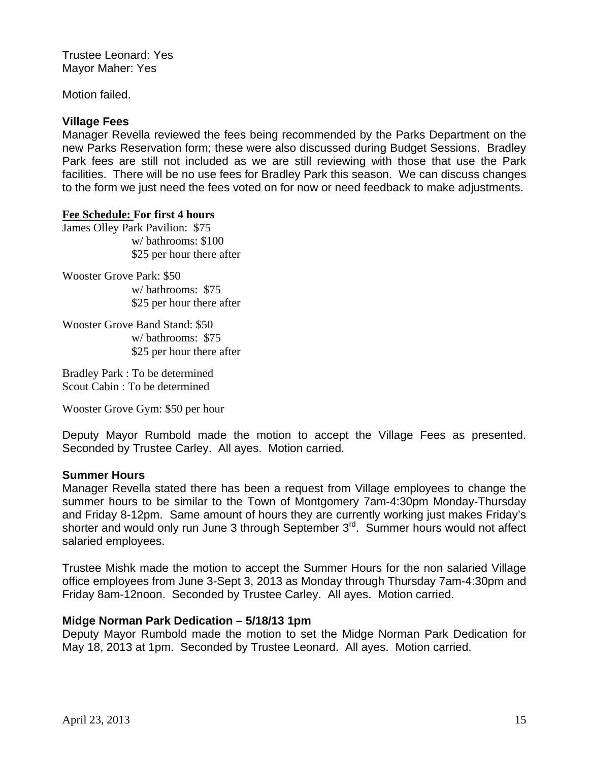Trustee Leonard: Yes Mayor Maher: Yes

Motion failed.

# **Village Fees**

Manager Revella reviewed the fees being recommended by the Parks Department on the new Parks Reservation form; these were also discussed during Budget Sessions. Bradley Park fees are still not included as we are still reviewing with those that use the Park facilities. There will be no use fees for Bradley Park this season. We can discuss changes to the form we just need the fees voted on for now or need feedback to make adjustments.

#### **Fee Schedule: For first 4 hours**

James Olley Park Pavilion: \$75 w/ bathrooms: \$100 \$25 per hour there after

Wooster Grove Park: \$50 w/ bathrooms: \$75 \$25 per hour there after

Wooster Grove Band Stand: \$50 w/ bathrooms: \$75 \$25 per hour there after

Bradley Park : To be determined Scout Cabin : To be determined

Wooster Grove Gym: \$50 per hour

Deputy Mayor Rumbold made the motion to accept the Village Fees as presented. Seconded by Trustee Carley. All ayes. Motion carried.

# **Summer Hours**

Manager Revella stated there has been a request from Village employees to change the summer hours to be similar to the Town of Montgomery 7am-4:30pm Monday-Thursday and Friday 8-12pm. Same amount of hours they are currently working just makes Friday's shorter and would only run June 3 through September 3<sup>rd</sup>. Summer hours would not affect salaried employees.

Trustee Mishk made the motion to accept the Summer Hours for the non salaried Village office employees from June 3-Sept 3, 2013 as Monday through Thursday 7am-4:30pm and Friday 8am-12noon. Seconded by Trustee Carley. All ayes. Motion carried.

# **Midge Norman Park Dedication – 5/18/13 1pm**

Deputy Mayor Rumbold made the motion to set the Midge Norman Park Dedication for May 18, 2013 at 1pm. Seconded by Trustee Leonard. All ayes. Motion carried.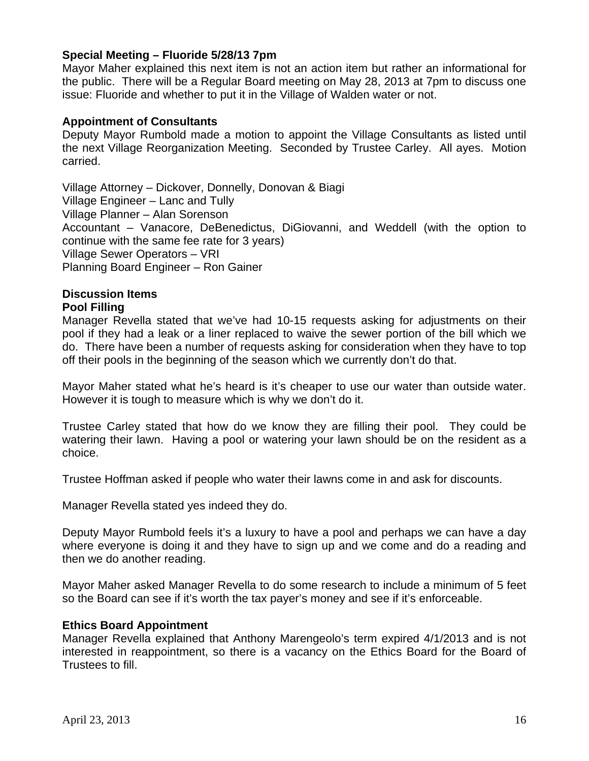# **Special Meeting – Fluoride 5/28/13 7pm**

Mayor Maher explained this next item is not an action item but rather an informational for the public. There will be a Regular Board meeting on May 28, 2013 at 7pm to discuss one issue: Fluoride and whether to put it in the Village of Walden water or not.

#### **Appointment of Consultants**

Deputy Mayor Rumbold made a motion to appoint the Village Consultants as listed until the next Village Reorganization Meeting. Seconded by Trustee Carley. All ayes. Motion carried.

Village Attorney – Dickover, Donnelly, Donovan & Biagi Village Engineer – Lanc and Tully Village Planner – Alan Sorenson Accountant – Vanacore, DeBenedictus, DiGiovanni, and Weddell (with the option to continue with the same fee rate for 3 years) Village Sewer Operators – VRI Planning Board Engineer – Ron Gainer

# **Discussion Items**

#### **Pool Filling**

Manager Revella stated that we've had 10-15 requests asking for adjustments on their pool if they had a leak or a liner replaced to waive the sewer portion of the bill which we do. There have been a number of requests asking for consideration when they have to top off their pools in the beginning of the season which we currently don't do that.

Mayor Maher stated what he's heard is it's cheaper to use our water than outside water. However it is tough to measure which is why we don't do it.

Trustee Carley stated that how do we know they are filling their pool. They could be watering their lawn. Having a pool or watering your lawn should be on the resident as a choice.

Trustee Hoffman asked if people who water their lawns come in and ask for discounts.

Manager Revella stated yes indeed they do.

Deputy Mayor Rumbold feels it's a luxury to have a pool and perhaps we can have a day where everyone is doing it and they have to sign up and we come and do a reading and then we do another reading.

Mayor Maher asked Manager Revella to do some research to include a minimum of 5 feet so the Board can see if it's worth the tax payer's money and see if it's enforceable.

#### **Ethics Board Appointment**

Manager Revella explained that Anthony Marengeolo's term expired 4/1/2013 and is not interested in reappointment, so there is a vacancy on the Ethics Board for the Board of Trustees to fill.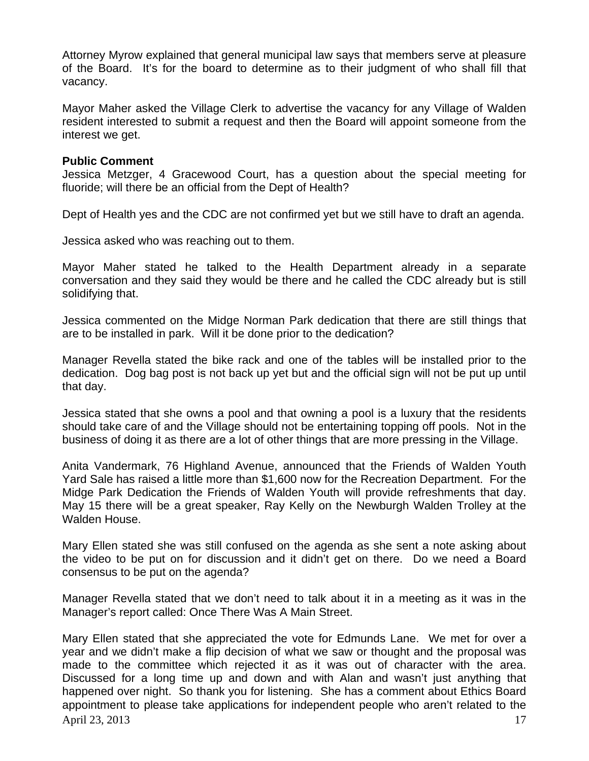Attorney Myrow explained that general municipal law says that members serve at pleasure of the Board. It's for the board to determine as to their judgment of who shall fill that vacancy.

Mayor Maher asked the Village Clerk to advertise the vacancy for any Village of Walden resident interested to submit a request and then the Board will appoint someone from the interest we get.

#### **Public Comment**

Jessica Metzger, 4 Gracewood Court, has a question about the special meeting for fluoride; will there be an official from the Dept of Health?

Dept of Health yes and the CDC are not confirmed yet but we still have to draft an agenda.

Jessica asked who was reaching out to them.

Mayor Maher stated he talked to the Health Department already in a separate conversation and they said they would be there and he called the CDC already but is still solidifying that.

Jessica commented on the Midge Norman Park dedication that there are still things that are to be installed in park. Will it be done prior to the dedication?

Manager Revella stated the bike rack and one of the tables will be installed prior to the dedication. Dog bag post is not back up yet but and the official sign will not be put up until that day.

Jessica stated that she owns a pool and that owning a pool is a luxury that the residents should take care of and the Village should not be entertaining topping off pools. Not in the business of doing it as there are a lot of other things that are more pressing in the Village.

Anita Vandermark, 76 Highland Avenue, announced that the Friends of Walden Youth Yard Sale has raised a little more than \$1,600 now for the Recreation Department. For the Midge Park Dedication the Friends of Walden Youth will provide refreshments that day. May 15 there will be a great speaker, Ray Kelly on the Newburgh Walden Trolley at the Walden House.

Mary Ellen stated she was still confused on the agenda as she sent a note asking about the video to be put on for discussion and it didn't get on there. Do we need a Board consensus to be put on the agenda?

Manager Revella stated that we don't need to talk about it in a meeting as it was in the Manager's report called: Once There Was A Main Street.

April 23, 2013 17 Mary Ellen stated that she appreciated the vote for Edmunds Lane. We met for over a year and we didn't make a flip decision of what we saw or thought and the proposal was made to the committee which rejected it as it was out of character with the area. Discussed for a long time up and down and with Alan and wasn't just anything that happened over night. So thank you for listening. She has a comment about Ethics Board appointment to please take applications for independent people who aren't related to the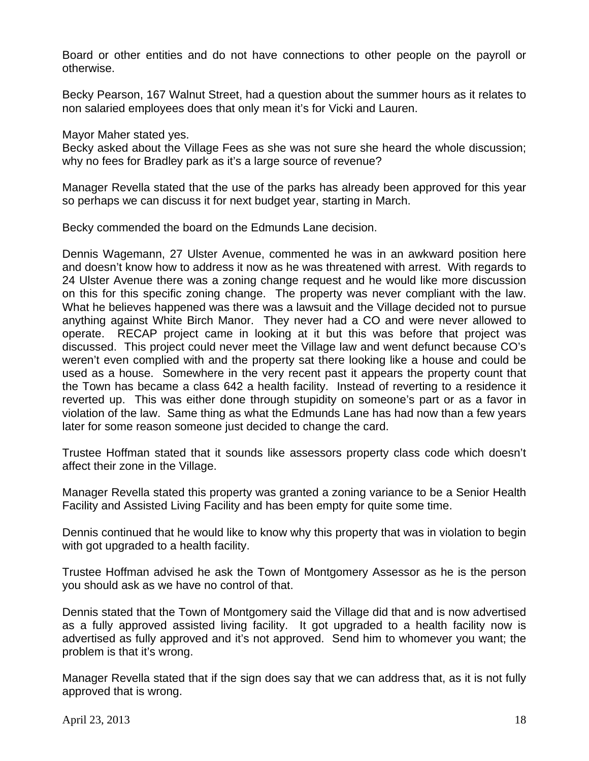Board or other entities and do not have connections to other people on the payroll or otherwise.

Becky Pearson, 167 Walnut Street, had a question about the summer hours as it relates to non salaried employees does that only mean it's for Vicki and Lauren.

Mayor Maher stated yes.

Becky asked about the Village Fees as she was not sure she heard the whole discussion; why no fees for Bradley park as it's a large source of revenue?

Manager Revella stated that the use of the parks has already been approved for this year so perhaps we can discuss it for next budget year, starting in March.

Becky commended the board on the Edmunds Lane decision.

Dennis Wagemann, 27 Ulster Avenue, commented he was in an awkward position here and doesn't know how to address it now as he was threatened with arrest. With regards to 24 Ulster Avenue there was a zoning change request and he would like more discussion on this for this specific zoning change. The property was never compliant with the law. What he believes happened was there was a lawsuit and the Village decided not to pursue anything against White Birch Manor. They never had a CO and were never allowed to operate. RECAP project came in looking at it but this was before that project was discussed. This project could never meet the Village law and went defunct because CO's weren't even complied with and the property sat there looking like a house and could be used as a house. Somewhere in the very recent past it appears the property count that the Town has became a class 642 a health facility. Instead of reverting to a residence it reverted up. This was either done through stupidity on someone's part or as a favor in violation of the law. Same thing as what the Edmunds Lane has had now than a few years later for some reason someone just decided to change the card.

Trustee Hoffman stated that it sounds like assessors property class code which doesn't affect their zone in the Village.

Manager Revella stated this property was granted a zoning variance to be a Senior Health Facility and Assisted Living Facility and has been empty for quite some time.

Dennis continued that he would like to know why this property that was in violation to begin with got upgraded to a health facility.

Trustee Hoffman advised he ask the Town of Montgomery Assessor as he is the person you should ask as we have no control of that.

Dennis stated that the Town of Montgomery said the Village did that and is now advertised as a fully approved assisted living facility. It got upgraded to a health facility now is advertised as fully approved and it's not approved. Send him to whomever you want; the problem is that it's wrong.

Manager Revella stated that if the sign does say that we can address that, as it is not fully approved that is wrong.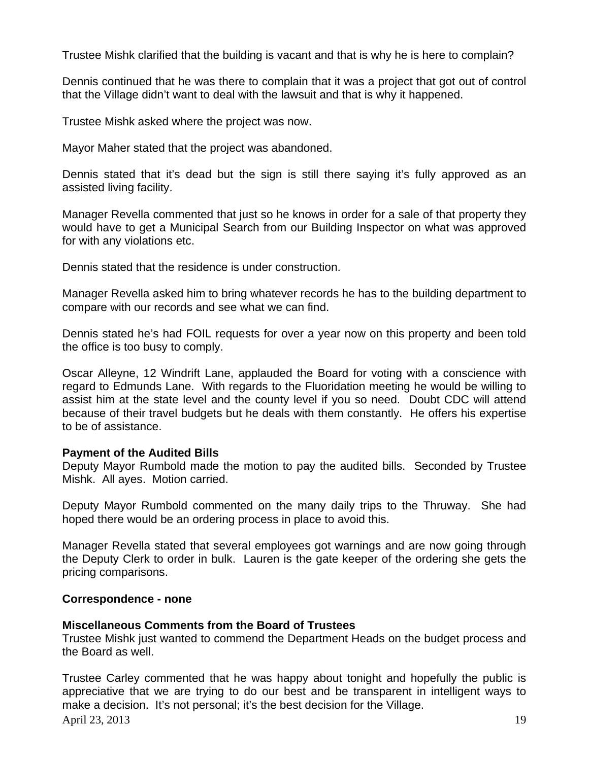Trustee Mishk clarified that the building is vacant and that is why he is here to complain?

Dennis continued that he was there to complain that it was a project that got out of control that the Village didn't want to deal with the lawsuit and that is why it happened.

Trustee Mishk asked where the project was now.

Mayor Maher stated that the project was abandoned.

Dennis stated that it's dead but the sign is still there saying it's fully approved as an assisted living facility.

Manager Revella commented that just so he knows in order for a sale of that property they would have to get a Municipal Search from our Building Inspector on what was approved for with any violations etc.

Dennis stated that the residence is under construction.

Manager Revella asked him to bring whatever records he has to the building department to compare with our records and see what we can find.

Dennis stated he's had FOIL requests for over a year now on this property and been told the office is too busy to comply.

Oscar Alleyne, 12 Windrift Lane, applauded the Board for voting with a conscience with regard to Edmunds Lane. With regards to the Fluoridation meeting he would be willing to assist him at the state level and the county level if you so need. Doubt CDC will attend because of their travel budgets but he deals with them constantly. He offers his expertise to be of assistance.

#### **Payment of the Audited Bills**

Deputy Mayor Rumbold made the motion to pay the audited bills. Seconded by Trustee Mishk. All ayes. Motion carried.

Deputy Mayor Rumbold commented on the many daily trips to the Thruway. She had hoped there would be an ordering process in place to avoid this.

Manager Revella stated that several employees got warnings and are now going through the Deputy Clerk to order in bulk. Lauren is the gate keeper of the ordering she gets the pricing comparisons.

#### **Correspondence - none**

# **Miscellaneous Comments from the Board of Trustees**

Trustee Mishk just wanted to commend the Department Heads on the budget process and the Board as well.

April 23, 2013 19 Trustee Carley commented that he was happy about tonight and hopefully the public is appreciative that we are trying to do our best and be transparent in intelligent ways to make a decision. It's not personal; it's the best decision for the Village.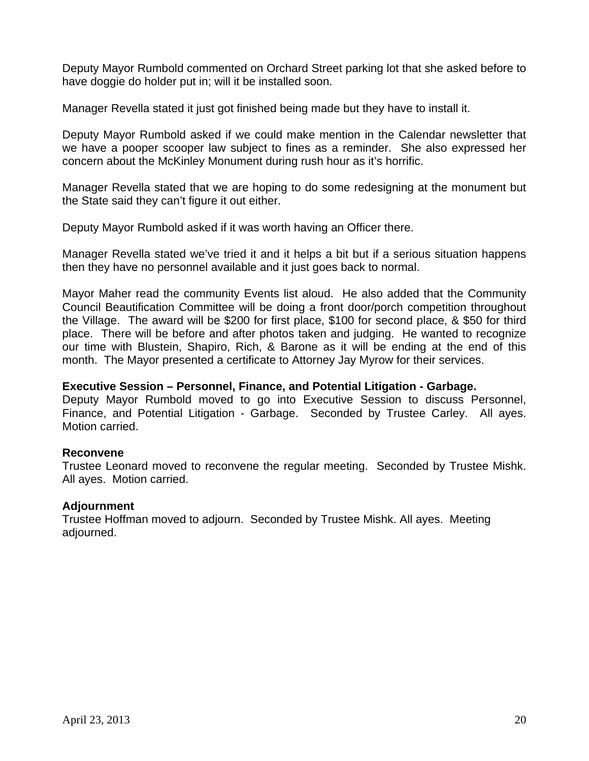Deputy Mayor Rumbold commented on Orchard Street parking lot that she asked before to have doggie do holder put in; will it be installed soon.

Manager Revella stated it just got finished being made but they have to install it.

Deputy Mayor Rumbold asked if we could make mention in the Calendar newsletter that we have a pooper scooper law subject to fines as a reminder. She also expressed her concern about the McKinley Monument during rush hour as it's horrific.

Manager Revella stated that we are hoping to do some redesigning at the monument but the State said they can't figure it out either.

Deputy Mayor Rumbold asked if it was worth having an Officer there.

Manager Revella stated we've tried it and it helps a bit but if a serious situation happens then they have no personnel available and it just goes back to normal.

Mayor Maher read the community Events list aloud. He also added that the Community Council Beautification Committee will be doing a front door/porch competition throughout the Village. The award will be \$200 for first place, \$100 for second place, & \$50 for third place. There will be before and after photos taken and judging. He wanted to recognize our time with Blustein, Shapiro, Rich, & Barone as it will be ending at the end of this month. The Mayor presented a certificate to Attorney Jay Myrow for their services.

## **Executive Session – Personnel, Finance, and Potential Litigation - Garbage.**

Deputy Mayor Rumbold moved to go into Executive Session to discuss Personnel, Finance, and Potential Litigation - Garbage. Seconded by Trustee Carley. All ayes. Motion carried.

# **Reconvene**

Trustee Leonard moved to reconvene the regular meeting. Seconded by Trustee Mishk. All ayes. Motion carried.

# **Adjournment**

Trustee Hoffman moved to adjourn. Seconded by Trustee Mishk. All ayes. Meeting adjourned.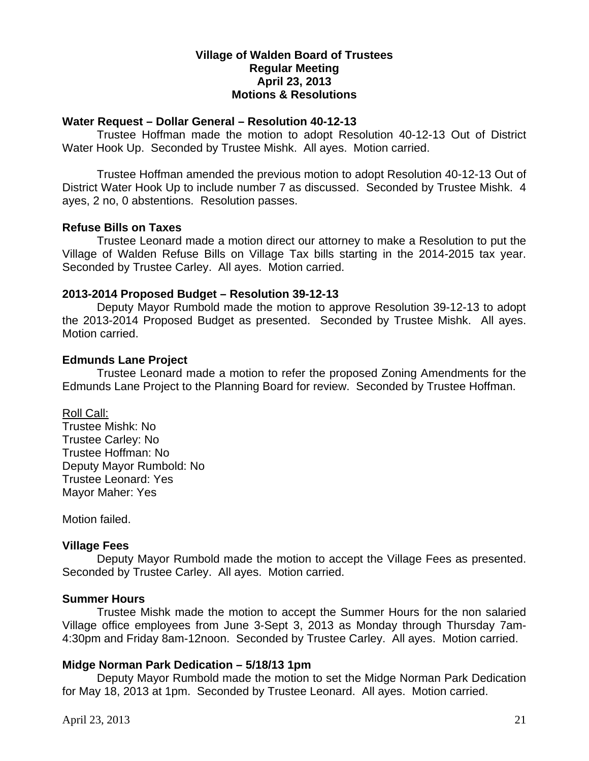# **Village of Walden Board of Trustees Regular Meeting April 23, 2013 Motions & Resolutions**

#### **Water Request – Dollar General – Resolution 40-12-13**

Trustee Hoffman made the motion to adopt Resolution 40-12-13 Out of District Water Hook Up. Seconded by Trustee Mishk. All ayes. Motion carried.

Trustee Hoffman amended the previous motion to adopt Resolution 40-12-13 Out of District Water Hook Up to include number 7 as discussed. Seconded by Trustee Mishk. 4 ayes, 2 no, 0 abstentions. Resolution passes.

#### **Refuse Bills on Taxes**

Trustee Leonard made a motion direct our attorney to make a Resolution to put the Village of Walden Refuse Bills on Village Tax bills starting in the 2014-2015 tax year. Seconded by Trustee Carley. All ayes. Motion carried.

#### **2013-2014 Proposed Budget – Resolution 39-12-13**

Deputy Mayor Rumbold made the motion to approve Resolution 39-12-13 to adopt the 2013-2014 Proposed Budget as presented. Seconded by Trustee Mishk. All ayes. Motion carried.

#### **Edmunds Lane Project**

Trustee Leonard made a motion to refer the proposed Zoning Amendments for the Edmunds Lane Project to the Planning Board for review. Seconded by Trustee Hoffman.

Roll Call:

Trustee Mishk: No Trustee Carley: No Trustee Hoffman: No Deputy Mayor Rumbold: No Trustee Leonard: Yes Mayor Maher: Yes

Motion failed.

# **Village Fees**

Deputy Mayor Rumbold made the motion to accept the Village Fees as presented. Seconded by Trustee Carley. All ayes. Motion carried.

#### **Summer Hours**

Trustee Mishk made the motion to accept the Summer Hours for the non salaried Village office employees from June 3-Sept 3, 2013 as Monday through Thursday 7am-4:30pm and Friday 8am-12noon. Seconded by Trustee Carley. All ayes. Motion carried.

# **Midge Norman Park Dedication – 5/18/13 1pm**

Deputy Mayor Rumbold made the motion to set the Midge Norman Park Dedication for May 18, 2013 at 1pm. Seconded by Trustee Leonard. All ayes. Motion carried.